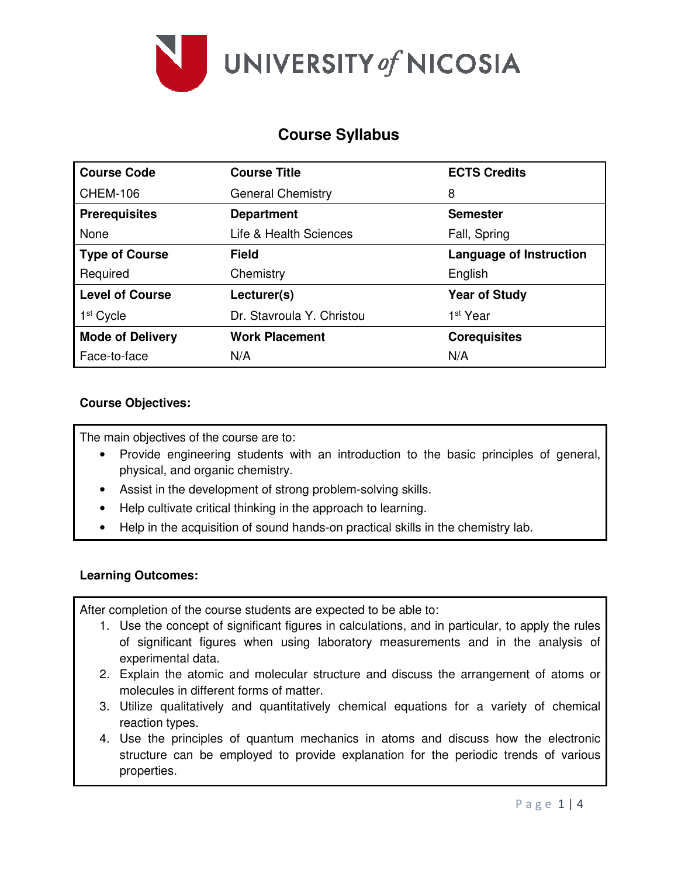

# **Course Syllabus**

| <b>Course Code</b>      | <b>Course Title</b>       | <b>ECTS Credits</b>            |  |  |
|-------------------------|---------------------------|--------------------------------|--|--|
| <b>CHEM-106</b>         | <b>General Chemistry</b>  | 8                              |  |  |
| <b>Prerequisites</b>    | <b>Department</b>         | <b>Semester</b>                |  |  |
| None                    | Life & Health Sciences    | Fall, Spring                   |  |  |
| <b>Type of Course</b>   | Field                     | <b>Language of Instruction</b> |  |  |
| Required                | Chemistry                 | English                        |  |  |
| <b>Level of Course</b>  | Lecturer(s)               | <b>Year of Study</b>           |  |  |
| 1 <sup>st</sup> Cycle   | Dr. Stavroula Y. Christou | 1 <sup>st</sup> Year           |  |  |
| <b>Mode of Delivery</b> | <b>Work Placement</b>     | <b>Corequisites</b>            |  |  |
| Face-to-face            | N/A                       | N/A                            |  |  |

## **Course Objectives:**

The main objectives of the course are to:

- Provide engineering students with an introduction to the basic principles of general, physical, and organic chemistry.
- Assist in the development of strong problem-solving skills.
- Help cultivate critical thinking in the approach to learning.
- Help in the acquisition of sound hands-on practical skills in the chemistry lab.

### **Learning Outcomes:**

After completion of the course students are expected to be able to:

- 1. Use the concept of significant figures in calculations, and in particular, to apply the rules of significant figures when using laboratory measurements and in the analysis of experimental data.
- 2. Explain the atomic and molecular structure and discuss the arrangement of atoms or molecules in different forms of matter.
- 3. Utilize qualitatively and quantitatively chemical equations for a variety of chemical reaction types.
- 4. Use the principles of quantum mechanics in atoms and discuss how the electronic structure can be employed to provide explanation for the periodic trends of various properties.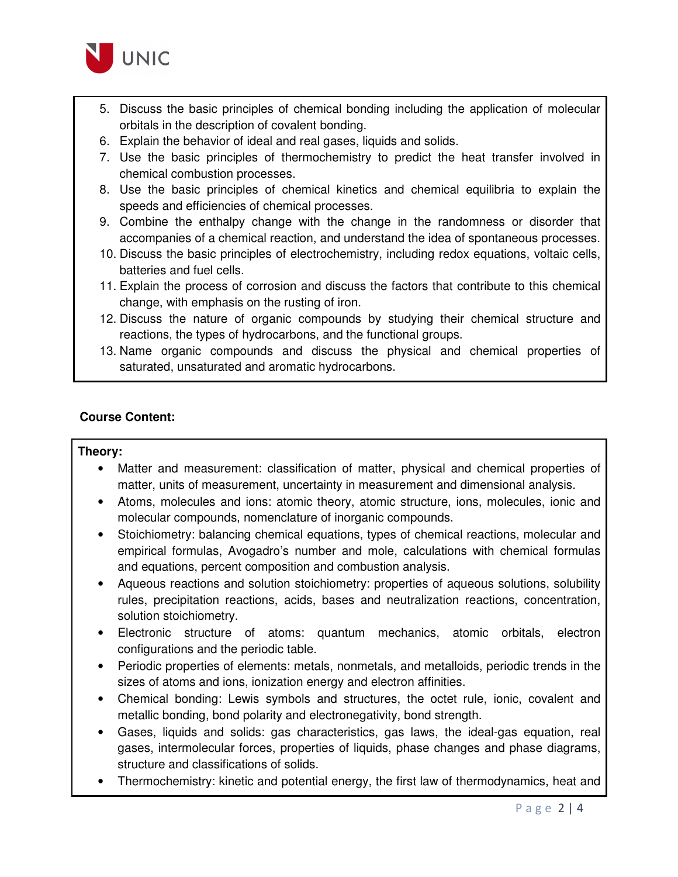

- 5. Discuss the basic principles of chemical bonding including the application of molecular orbitals in the description of covalent bonding.
- 6. Explain the behavior of ideal and real gases, liquids and solids.
- 7. Use the basic principles of thermochemistry to predict the heat transfer involved in chemical combustion processes.
- 8. Use the basic principles of chemical kinetics and chemical equilibria to explain the speeds and efficiencies of chemical processes.
- 9. Combine the enthalpy change with the change in the randomness or disorder that accompanies of a chemical reaction, and understand the idea of spontaneous processes.
- 10. Discuss the basic principles of electrochemistry, including redox equations, voltaic cells, batteries and fuel cells.
- 11. Explain the process of corrosion and discuss the factors that contribute to this chemical change, with emphasis on the rusting of iron.
- 12. Discuss the nature of organic compounds by studying their chemical structure and reactions, the types of hydrocarbons, and the functional groups.
- 13. Name organic compounds and discuss the physical and chemical properties of saturated, unsaturated and aromatic hydrocarbons.

### **Course Content:**

### **Theory:**

- Matter and measurement: classification of matter, physical and chemical properties of matter, units of measurement, uncertainty in measurement and dimensional analysis.
- Atoms, molecules and ions: atomic theory, atomic structure, ions, molecules, ionic and molecular compounds, nomenclature of inorganic compounds.
- Stoichiometry: balancing chemical equations, types of chemical reactions, molecular and empirical formulas, Avogadro's number and mole, calculations with chemical formulas and equations, percent composition and combustion analysis.
- Aqueous reactions and solution stoichiometry: properties of aqueous solutions, solubility rules, precipitation reactions, acids, bases and neutralization reactions, concentration, solution stoichiometry.
- Electronic structure of atoms: quantum mechanics, atomic orbitals, electron configurations and the periodic table.
- Periodic properties of elements: metals, nonmetals, and metalloids, periodic trends in the sizes of atoms and ions, ionization energy and electron affinities.
- Chemical bonding: Lewis symbols and structures, the octet rule, ionic, covalent and metallic bonding, bond polarity and electronegativity, bond strength.
- Gases, liquids and solids: gas characteristics, gas laws, the ideal-gas equation, real gases, intermolecular forces, properties of liquids, phase changes and phase diagrams, structure and classifications of solids.
- Thermochemistry: kinetic and potential energy, the first law of thermodynamics, heat and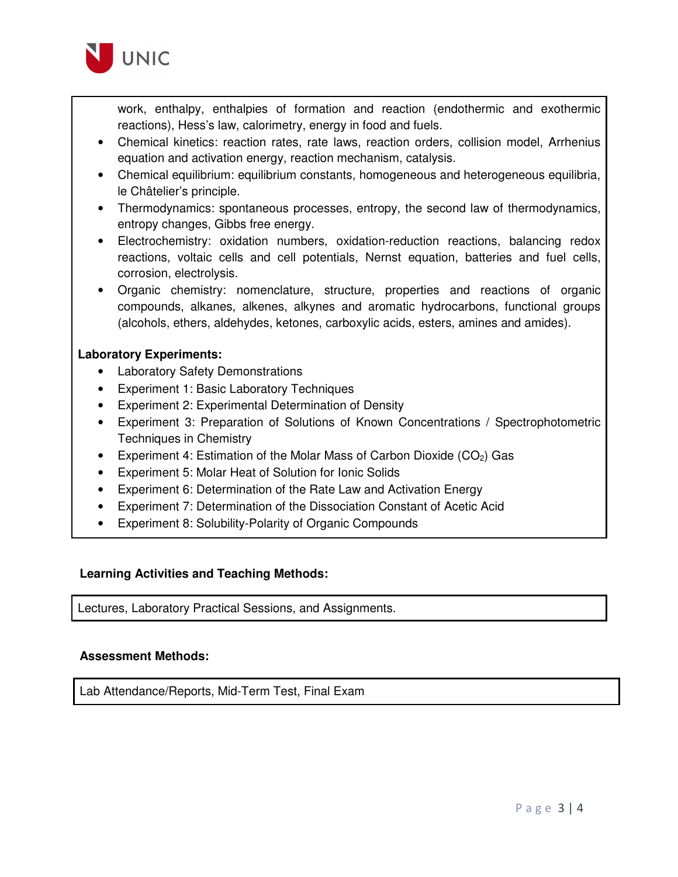

work, enthalpy, enthalpies of formation and reaction (endothermic and exothermic reactions), Hess's law, calorimetry, energy in food and fuels.

- Chemical kinetics: reaction rates, rate laws, reaction orders, collision model, Arrhenius equation and activation energy, reaction mechanism, catalysis.
- Chemical equilibrium: equilibrium constants, homogeneous and heterogeneous equilibria, le Châtelier's principle.
- Thermodynamics: spontaneous processes, entropy, the second law of thermodynamics, entropy changes, Gibbs free energy.
- Electrochemistry: oxidation numbers, oxidation-reduction reactions, balancing redox reactions, voltaic cells and cell potentials, Nernst equation, batteries and fuel cells, corrosion, electrolysis.
- Organic chemistry: nomenclature, structure, properties and reactions of organic compounds, alkanes, alkenes, alkynes and aromatic hydrocarbons, functional groups (alcohols, ethers, aldehydes, ketones, carboxylic acids, esters, amines and amides).

## **Laboratory Experiments:**

- Laboratory Safety Demonstrations
- Experiment 1: Basic Laboratory Techniques
- Experiment 2: Experimental Determination of Density
- Experiment 3: Preparation of Solutions of Known Concentrations / Spectrophotometric Techniques in Chemistry
- Experiment 4: Estimation of the Molar Mass of Carbon Dioxide  $(CO<sub>2</sub>)$  Gas
- Experiment 5: Molar Heat of Solution for Ionic Solids
- Experiment 6: Determination of the Rate Law and Activation Energy
- Experiment 7: Determination of the Dissociation Constant of Acetic Acid
- Experiment 8: Solubility-Polarity of Organic Compounds

### **Learning Activities and Teaching Methods:**

Lectures, Laboratory Practical Sessions, and Assignments.

# **Assessment Methods:**

Lab Attendance/Reports, Mid-Term Test, Final Exam